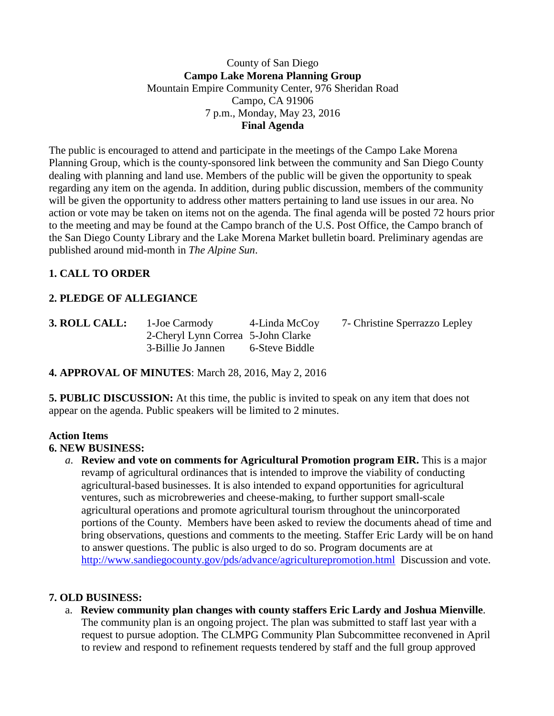### County of San Diego **Campo Lake Morena Planning Group** Mountain Empire Community Center, 976 Sheridan Road Campo, CA 91906 7 p.m., Monday, May 23, 2016 **Final Agenda**

The public is encouraged to attend and participate in the meetings of the Campo Lake Morena Planning Group, which is the county-sponsored link between the community and San Diego County dealing with planning and land use. Members of the public will be given the opportunity to speak regarding any item on the agenda. In addition, during public discussion, members of the community will be given the opportunity to address other matters pertaining to land use issues in our area. No action or vote may be taken on items not on the agenda. The final agenda will be posted 72 hours prior to the meeting and may be found at the Campo branch of the U.S. Post Office, the Campo branch of the San Diego County Library and the Lake Morena Market bulletin board. Preliminary agendas are published around mid-month in *The Alpine Sun*.

## **1. CALL TO ORDER**

# **2. PLEDGE OF ALLEGIANCE**

**3. ROLL CALL:** 1**-**Joe Carmody 4-Linda McCoy 7- Christine Sperrazzo Lepley 2-Cheryl Lynn Correa 5-John Clarke 3-Billie Jo Jannen 6-Steve Biddle

### **4. APPROVAL OF MINUTES**: March 28, 2016, May 2, 2016

**5. PUBLIC DISCUSSION:** At this time, the public is invited to speak on any item that does not appear on the agenda. Public speakers will be limited to 2 minutes.

### **Action Items**

### **6. NEW BUSINESS:**

*a*. **Review and vote on comments for Agricultural Promotion program EIR.** This is a major revamp of agricultural ordinances that is intended to improve the viability of conducting agricultural-based businesses. It is also intended to expand opportunities for agricultural ventures, such as microbreweries and cheese-making, to further support small-scale agricultural operations and promote agricultural tourism throughout the unincorporated portions of the County. Members have been asked to review the documents ahead of time and bring observations, questions and comments to the meeting. Staffer Eric Lardy will be on hand to answer questions. The public is also urged to do so. Program documents are at <http://www.sandiegocounty.gov/pds/advance/agriculturepromotion.html>Discussion and vote.

### **7. OLD BUSINESS:**

a. **Review community plan changes with county staffers Eric Lardy and Joshua Mienville**. The community plan is an ongoing project. The plan was submitted to staff last year with a request to pursue adoption. The CLMPG Community Plan Subcommittee reconvened in April to review and respond to refinement requests tendered by staff and the full group approved